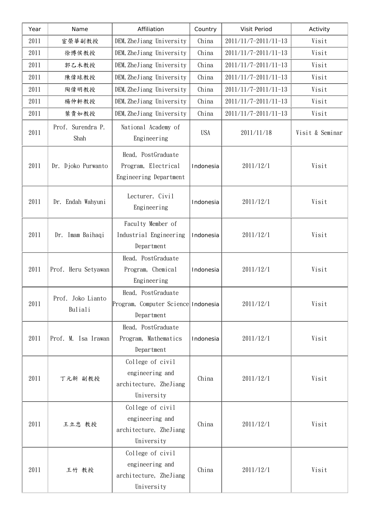| Year | Name                         | Affiliation                                                                 | Country    | Visit Period         | Activity        |
|------|------------------------------|-----------------------------------------------------------------------------|------------|----------------------|-----------------|
| 2011 | 宦榮華副教授                       | DEM, ZheJiang University                                                    | China      | 2011/11/7-2011/11-13 | Visit           |
| 2011 | 徐博侯教授                        | DEM, ZheJiang University                                                    | China      | 2011/11/7-2011/11-13 | Visit           |
| 2011 | 郭乙木教授                        | DEM, ZheJiang University                                                    | China      | 2011/11/7-2011/11-13 | Visit           |
| 2011 | 陳偉球教授                        | DEM, ZheJiang University                                                    | China      | 2011/11/7-2011/11-13 | Visit           |
| 2011 | 陶偉明教授                        | DEM, ZheJiang University                                                    | China      | 2011/11/7-2011/11-13 | Visit           |
| 2011 | 楊仲軒教授                        | DEM, ZheJiang University                                                    | China      | 2011/11/7-2011/11-13 | Visit           |
| 2011 | 葉貴如教授                        | DEM, ZheJiang University                                                    | China      | 2011/11/7-2011/11-13 | Visit           |
| 2011 | Prof. Surendra P.<br>Shah    | National Academy of<br>Engineering                                          | <b>USA</b> | 2011/11/18           | Visit & Seminar |
| 2011 | Dr. Djoko Purwanto           | Head, PostGraduate<br>Program, Electrical<br>Engineering Department         | Indonesia  | 2011/12/1            | Visit           |
| 2011 | Dr. Endah Wahyuni            | Lecturer, Civil<br>Engineering                                              | Indonesia  | 2011/12/1            | Visit           |
| 2011 | Imam Baihaqi<br>Dr.          | Faculty Member of<br>Industrial Engineering<br>Department                   | Indonesia  | 2011/12/1            | Visit           |
| 2011 | Prof. Heru Setyawan          | Head, PostGraduate<br>Program, Chemical<br>Engineering                      | Indonesia  | 2011/12/1            | Visit           |
| 2011 | Prof. Joko Lianto<br>Buliali | Head, PostGraduate<br>Program, Computer Science Indonesia<br>Department     |            | 2011/12/1            | Visit           |
| 2011 | Prof. M. Isa Irawan          | Head, PostGraduate<br>Program, Mathematics<br>Department                    | Indonesia  | 2011/12/1            | Visit           |
| 2011 | 丁元新 副教授                      | College of civil<br>engineering and<br>architecture, ZheJiang<br>University | China      | 2011/12/1            | Visit           |
| 2011 | 王立忠 教授                       | College of civil<br>engineering and<br>architecture, ZheJiang<br>University | China      | 2011/12/1            | Visit           |
| 2011 | 王竹 教授                        | College of civil<br>engineering and<br>architecture, ZheJiang<br>University | China      | 2011/12/1            | Visit           |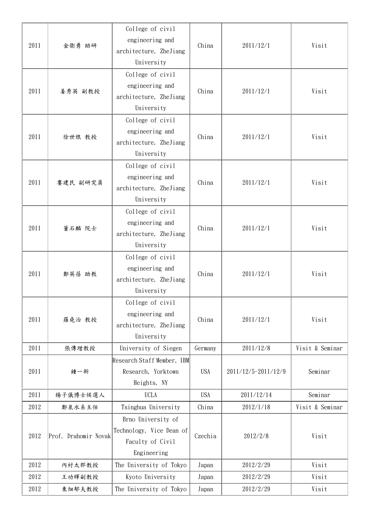| 2011 | 金衛勇 助研               | College of civil<br>engineering and<br>architecture, ZheJiang<br>University       | China      | 2011/12/1           | Visit           |
|------|----------------------|-----------------------------------------------------------------------------------|------------|---------------------|-----------------|
| 2011 | 姜秀英 副教授              | College of civil<br>engineering and<br>architecture, ZheJiang<br>University       | China      | 2011/12/1           | Visit           |
| 2011 | 徐世烺 教授               | College of civil<br>engineering and<br>architecture, ZheJiang<br>University       | China      | 2011/12/1           | Visit           |
| 2011 | 婁建民 副研究員             | College of civil<br>engineering and<br>architecture, ZheJiang<br>University       | China      | 2011/12/1           | Visit           |
| 2011 | 董石麟 院士               | College of civil<br>engineering and<br>architecture, ZheJiang<br>University       | China      | 2011/12/1           | Visit           |
| 2011 | 鄭英蓓 助教               | College of civil<br>engineering and<br>architecture, ZheJiang<br>University       | China      | 2011/12/1           | Visit           |
| 2011 | 羅堯治 教授               | College of civil<br>engineering and<br>architecture, ZheJiang<br>University       | China      | 2011/12/1           | Visit           |
| 2011 | 張傳增教授                | University of Siegen                                                              | Germany    | 2011/12/8           | Visit & Seminar |
| 2011 | 鍾一新                  | Research Staff Member, IBM<br>Research, Yorktown<br>Heights, NY                   | <b>USA</b> | 2011/12/5-2011/12/9 | Seminar         |
| 2011 | 楊子儀博士候選人             | <b>UCLA</b>                                                                       | <b>USA</b> | 2011/12/14          | Seminar         |
| 2012 | 鄭泉水系主任               | Tsinghua University                                                               | China      | 2012/1/18           | Visit & Seminar |
| 2012 | Prof. Drahomir Novak | Brno University of<br>Technology, Vice Dean of<br>Faculty of Civil<br>Engineering | Czechia    | 2012/2/8            | Visit           |
| 2012 | 内村太郎教授               | The University of Tokyo                                                           | Japan      | 2012/2/29           | Visit           |
| 2012 | 王功輝副教授               | Kyoto University                                                                  | Japan      | 2012/2/29           | Visit           |
| 2012 | 東畑郁夫教授               | The University of Tokyo                                                           | Japan      | 2012/2/29           | Visit           |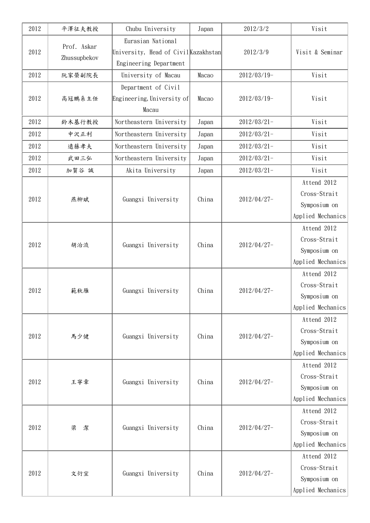| 2012 | 平澤征夫教授                      | Chubu University                                                                    | Japan | 2012/3/2       | Visit                                                            |
|------|-----------------------------|-------------------------------------------------------------------------------------|-------|----------------|------------------------------------------------------------------|
| 2012 | Prof. Askar<br>Zhussupbekov | Eurasian National<br>University, Head of Civil Kazakhstan<br>Engineering Department |       | 2012/3/9       | Visit & Seminar                                                  |
| 2012 | 阮家榮副院長                      | University of Macau                                                                 | Macao | $2012/03/19-$  | Visit                                                            |
| 2012 | 高冠鵬系主任                      | Department of Civil<br>Engineering, University of<br>Macau                          | Macao | $2012/03/19-$  | Visit                                                            |
| 2012 | 鈴木基行教授                      | Northeastern University                                                             | Japan | $2012/03/21 -$ | Visit                                                            |
| 2012 | 中沢正利                        | Northeastern University                                                             | Japan | $2012/03/21 -$ | Visit                                                            |
| 2012 | 遠藤孝夫                        | Northeastern University                                                             | Japan | $2012/03/21 -$ | Visit                                                            |
| 2012 | 武田三弘                        | Northeastern University                                                             | Japan | $2012/03/21 -$ | Visit                                                            |
| 2012 | 加賀谷 誠                       | Akita University                                                                    | Japan | $2012/03/21 -$ | Visit                                                            |
| 2012 | 燕柳斌                         | Guangxi University                                                                  | China | 2012/04/27-    | Attend 2012<br>Cross-Strait<br>Symposium on<br>Applied Mechanics |
| 2012 | 胡治流                         | Guangxi University                                                                  | China | 2012/04/27-    | Attend 2012<br>Cross-Strait<br>Symposium on<br>Applied Mechanics |
| 2012 | 範秋雁                         | Guangxi University                                                                  | China | 2012/04/27-    | Attend 2012<br>Cross-Strait<br>Symposium on<br>Applied Mechanics |
| 2012 | 馬少健                         | Guangxi University                                                                  | China | 2012/04/27-    | Attend 2012<br>Cross-Strait<br>Symposium on<br>Applied Mechanics |
| 2012 | 王寧章                         | Guangxi University                                                                  | China | 2012/04/27-    | Attend 2012<br>Cross-Strait<br>Symposium on<br>Applied Mechanics |
| 2012 | 梁<br>潔                      | Guangxi University                                                                  | China | 2012/04/27-    | Attend 2012<br>Cross-Strait<br>Symposium on<br>Applied Mechanics |
| 2012 | 文衍宣                         | Guangxi University                                                                  | China | 2012/04/27-    | Attend 2012<br>Cross-Strait<br>Symposium on<br>Applied Mechanics |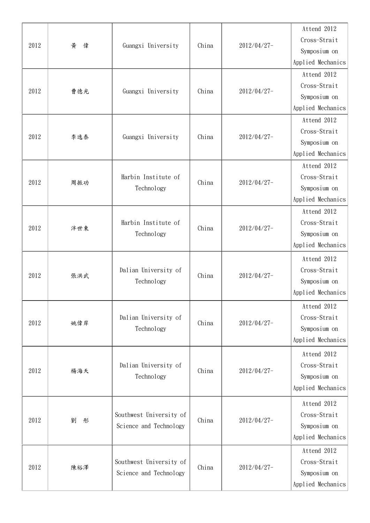|      |        |                                   |       |             | Attend 2012       |
|------|--------|-----------------------------------|-------|-------------|-------------------|
|      |        |                                   |       |             | Cross-Strait      |
| 2012 | 黄<br>偉 | Guangxi University                | China | 2012/04/27- | Symposium on      |
|      |        |                                   |       |             | Applied Mechanics |
|      |        |                                   |       |             | Attend 2012       |
| 2012 | 曹德光    | Guangxi University                | China | 2012/04/27- | Cross-Strait      |
|      |        |                                   |       |             | Symposium on      |
|      |        |                                   |       |             | Applied Mechanics |
|      |        |                                   |       |             | Attend 2012       |
| 2012 | 李逸泰    | Guangxi University                | China | 2012/04/27- | Cross-Strait      |
|      |        |                                   |       |             | Symposium on      |
|      |        |                                   |       |             | Applied Mechanics |
|      |        |                                   |       |             | Attend 2012       |
| 2012 | 周振功    | Harbin Institute of               | China | 2012/04/27- | Cross-Strait      |
|      |        | Technology                        |       |             | Symposium on      |
|      |        |                                   |       |             | Applied Mechanics |
|      |        |                                   |       |             | Attend 2012       |
| 2012 | 泮世東    | Harbin Institute of<br>Technology | China | 2012/04/27- | Cross-Strait      |
|      |        |                                   |       |             | Symposium on      |
|      |        |                                   |       |             | Applied Mechanics |
|      |        |                                   |       |             | Attend 2012       |
|      |        | Dalian University of              | China | 2012/04/27- | Cross-Strait      |
| 2012 | 張洪武    | Technology                        |       |             | Symposium on      |
|      |        |                                   |       |             | Applied Mechanics |
|      |        |                                   |       |             | Attend 2012       |
|      |        | Dalian University of              |       |             | Cross-Strait      |
| 2012 | 姚偉岸    | Technology                        | China | 2012/04/27- | Symposium on      |
|      |        |                                   |       |             | Applied Mechanics |
|      |        |                                   |       |             | Attend 2012       |
|      |        | Dalian University of              |       |             | Cross-Strait      |
| 2012 | 楊海天    | Technology                        | China | 2012/04/27- | Symposium on      |
|      |        |                                   |       |             | Applied Mechanics |
|      |        |                                   |       |             | Attend 2012       |
|      |        | Southwest University of           |       |             | Cross-Strait      |
| 2012 | 劉<br>形 | Science and Technology            | China | 2012/04/27- | Symposium on      |
|      |        |                                   |       |             | Applied Mechanics |
|      |        |                                   |       |             | Attend 2012       |
|      |        | Southwest University of           |       |             | Cross-Strait      |
| 2012 | 陳裕澤    | Science and Technology            | China | 2012/04/27- | Symposium on      |
|      |        |                                   |       |             | Applied Mechanics |
|      |        |                                   |       |             |                   |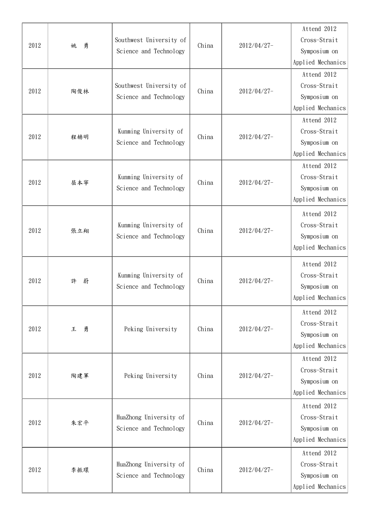|      |        |                                                 |       |             | Attend 2012       |
|------|--------|-------------------------------------------------|-------|-------------|-------------------|
|      |        | Southwest University of                         |       |             | Cross-Strait      |
| 2012 | 勇<br>姚 | Science and Technology                          | China | 2012/04/27- | Symposium on      |
|      |        |                                                 |       |             | Applied Mechanics |
|      |        |                                                 |       |             | Attend 2012       |
|      |        | Southwest University of                         |       |             | Cross-Strait      |
| 2012 | 陶俊林    | Science and Technology                          | China | 2012/04/27- | Symposium on      |
|      |        |                                                 |       |             | Applied Mechanics |
|      |        |                                                 |       |             | Attend 2012       |
| 2012 |        | Kunming University of                           | China | 2012/04/27- | Cross-Strait      |
|      | 程赫明    | Science and Technology                          |       |             | Symposium on      |
|      |        |                                                 |       |             | Applied Mechanics |
|      |        |                                                 |       |             | Attend 2012       |
| 2012 | 屈本寧    | Kunming University of                           | China | 2012/04/27- | Cross-Strait      |
|      |        | Science and Technology                          |       |             | Symposium on      |
|      |        |                                                 |       | 2012/04/27- | Applied Mechanics |
|      |        |                                                 |       |             | Attend 2012       |
|      |        | Kunming University of                           | China |             | Cross-Strait      |
| 2012 | 張立翔    | Science and Technology                          |       |             | Symposium on      |
|      |        |                                                 |       |             | Applied Mechanics |
|      |        |                                                 |       |             | Attend 2012       |
|      |        | Kunming University of<br>Science and Technology | China |             | Cross-Strait      |
| 2012 | 蔚<br>許 |                                                 |       | 2012/04/27- | Symposium on      |
|      |        |                                                 |       |             | Applied Mechanics |
|      |        |                                                 |       |             | Attend 2012       |
|      |        |                                                 |       |             | Cross-Strait      |
| 2012 | 勇<br>王 | Peking University                               | China | 2012/04/27- | Symposium on      |
|      |        |                                                 |       |             | Applied Mechanics |
|      |        |                                                 |       |             | Attend 2012       |
|      |        |                                                 |       |             | Cross-Strait      |
| 2012 | 陶建軍    | Peking University                               | China | 2012/04/27- | Symposium on      |
|      |        |                                                 |       |             | Applied Mechanics |
|      |        |                                                 |       |             | Attend 2012       |
|      |        | HuaZhong University of                          |       |             | Cross-Strait      |
| 2012 | 朱宏平    | Science and Technology                          | China | 2012/04/27- | Symposium on      |
|      |        |                                                 |       |             | Applied Mechanics |
|      |        |                                                 |       |             | Attend 2012       |
|      |        | HuaZhong University of                          |       |             | Cross-Strait      |
| 2012 | 李振環    | Science and Technology                          | China | 2012/04/27- | Symposium on      |
|      |        |                                                 |       |             | Applied Mechanics |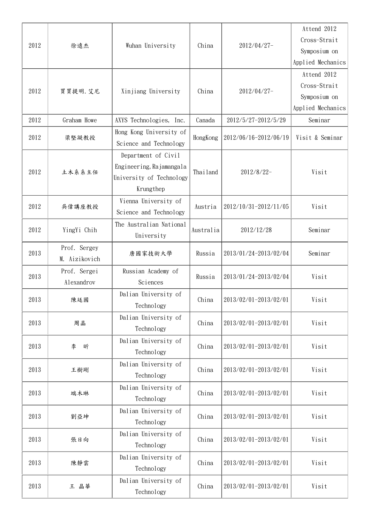|      |               |                          |           |                                | Attend 2012       |
|------|---------------|--------------------------|-----------|--------------------------------|-------------------|
|      |               |                          |           |                                | Cross-Strait      |
| 2012 | 徐遠杰           | Wuhan University         | China     | 2012/04/27-                    | Symposium on      |
|      |               |                          |           |                                | Applied Mechanics |
|      |               |                          |           |                                | Attend 2012       |
|      |               |                          |           |                                | Cross-Strait      |
| 2012 | 買買提明. 艾尼      | Xinjiang University      | China     | 2012/04/27-                    | Symposium on      |
|      |               |                          |           |                                | Applied Mechanics |
| 2012 | Graham Howe   | AXYS Technologies, Inc.  | Canada    | 2012/5/27-2012/5/29            | Seminar           |
|      |               | Hong Kong University of  |           |                                |                   |
| 2012 | 梁堅凝教授         | Science and Technology   | HongKong  | 2012/06/16-2012/06/19          | Visit & Seminar   |
|      |               | Department of Civil      |           |                                |                   |
|      |               | Engineering, Rajamangala |           |                                |                   |
| 2012 | 土木系系主任        | University of Technology | Thailand  | 2012/8/22-                     | Visit             |
|      |               | Krungthep                |           |                                |                   |
|      |               | Vienna University of     |           |                                |                   |
| 2012 | 吳偉講座教授        | Science and Technology   | Austria   | 2012/10/31-2012/11/05          | Visit             |
|      |               | The Australian National  |           |                                |                   |
| 2012 | YingYi Chih   | University               | Australia | 2012/12/28                     | Seminar           |
|      | Prof. Sergey  |                          |           |                                |                   |
| 2013 | M. Aizikovich | 唐國家技術大學                  | Russia    | 2013/01/24-2013/02/04          | Seminar           |
|      | Prof. Sergei  | Russian Academy of       |           |                                |                   |
| 2013 | Alexandrov    | Sciences                 | Russia    | 2013/01/24-2013/02/04          | Visit             |
|      |               | Dalian University of     |           |                                |                   |
| 2013 | 陳廷國           | Technology               | China     | 2013/02/01-2013/02/01          | Visit             |
|      |               | Dalian University of     |           |                                |                   |
| 2013 | 周晶            | Technology               | China     | 2013/02/01-2013/02/01          | Visit             |
|      |               | Dalian University of     |           |                                |                   |
| 2013 | 李<br>昕        | Technology               | China     | 2013/02/01-2013/02/01          | Visit             |
|      |               | Dalian University of     |           |                                |                   |
| 2013 | 王樹剛           | Technology               | China     | 2013/02/01-2013/02/01          | Visit             |
|      |               | Dalian University of     |           |                                |                   |
| 2013 | 端木琳           | Technology               | China     | 2013/02/01-2013/02/01          | Visit             |
|      |               | Dalian University of     |           |                                |                   |
| 2013 | 劉亞坤           | Technology               | China     | 2013/02/01-2013/02/01          | Visit             |
|      |               | Dalian University of     |           |                                |                   |
| 2013 | 張日向           | Technology               | China     | 2013/02/01-2013/02/01          | Visit             |
|      |               | Dalian University of     |           |                                |                   |
| 2013 | 陳靜雲           | Technology               |           | 2013/02/01-2013/02/01<br>China | Visit             |
|      |               | Dalian University of     |           |                                |                   |
| 2013 | 王 晶華          | Technology               | China     | 2013/02/01-2013/02/01          | Visit             |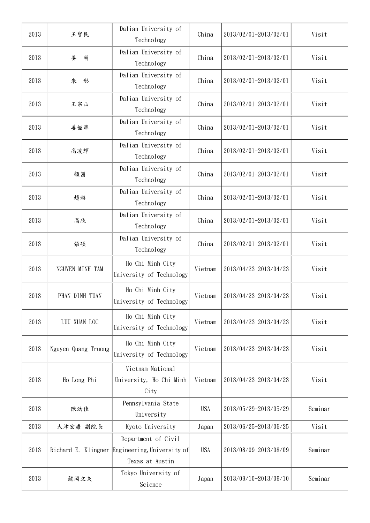| 2013 | 王寶民                 | Dalian University of<br>Technology                                   | China      | 2013/02/01-2013/02/01 | Visit   |
|------|---------------------|----------------------------------------------------------------------|------------|-----------------------|---------|
| 2013 | 姜<br>萌              | Dalian University of<br>Technology                                   | China      | 2013/02/01-2013/02/01 | Visit   |
| 2013 | 朱<br>形              | Dalian University of<br>Technology                                   | China      | 2013/02/01-2013/02/01 | Visit   |
| 2013 | 王宗山                 | Dalian University of<br>Technology                                   | China      | 2013/02/01-2013/02/01 | Visit   |
| 2013 | 姜韶華                 | Dalian University of<br>Technology                                   | China      | 2013/02/01-2013/02/01 | Visit   |
| 2013 | 高凌輝                 | Dalian University of<br>Technology                                   | China      | 2013/02/01-2013/02/01 | Visit   |
| 2013 | 顧茜                  | Dalian University of<br>Technology                                   | China      | 2013/02/01-2013/02/01 | Visit   |
| 2013 | 趙璐                  | Dalian University of<br>Technology                                   | China      | 2013/02/01-2013/02/01 | Visit   |
| 2013 | 高欣                  | Dalian University of<br>Technology                                   | China      | 2013/02/01-2013/02/01 | Visit   |
| 2013 | 張碩                  | Dalian University of<br>Technology                                   | China      | 2013/02/01-2013/02/01 | Visit   |
| 2013 | NGUYEN MINH TAM     | Ho Chi Minh City<br>University of Technology                         | Vietnam    | 2013/04/23-2013/04/23 | Visit   |
| 2013 | PHAN DINH TUAN      | Ho Chi Minh City<br>University of Technology                         | Vietnam    | 2013/04/23-2013/04/23 | Visit   |
| 2013 | LUU XUAN LOC        | Ho Chi Minh City<br>University of Technology                         | Vietnam    | 2013/04/23-2013/04/23 | Visit   |
| 2013 | Nguyen Quang Truong | Ho Chi Minh City<br>University of Technology                         | Vietnam    | 2013/04/23-2013/04/23 | Visit   |
| 2013 | Ho Long Phi         | Vietnam National<br>University, Ho Chi Minh<br>City                  | Vietnam    | 2013/04/23-2013/04/23 | Visit   |
| 2013 | 陳幼佳                 | Pennsylvania State<br>University                                     | <b>USA</b> | 2013/05/29-2013/05/29 | Seminar |
| 2013 | 大津宏康 副院長            | Kyoto University                                                     | Japan      | 2013/06/25-2013/06/25 | Visit   |
| 2013 | Richard E. Klingner | Department of Civil<br>Engineering, University of<br>Texas at Austin | <b>USA</b> | 2013/08/09-2013/08/09 | Seminar |
| 2013 | 龍岡文夫                | Tokyo University of<br>Science                                       | Japan      | 2013/09/10-2013/09/10 | Seminar |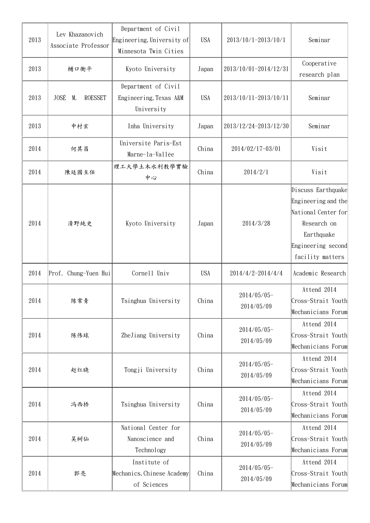| 2013 | Lev Khazanovich<br>Associate Professor | Department of Civil<br>Engineering, University of<br>Minnesota Twin Cities | <b>USA</b> | 2013/10/1-2013/10/1          | Seminar                                                                                                                                 |
|------|----------------------------------------|----------------------------------------------------------------------------|------------|------------------------------|-----------------------------------------------------------------------------------------------------------------------------------------|
| 2013 | 樋口衡平                                   | Kyoto University                                                           | Japan      | 2013/10/01-2014/12/31        | Cooperative<br>research plan                                                                                                            |
| 2013 | JOSÉ<br>M.<br><b>ROESSET</b>           | Department of Civil<br>Engineering, Texas A&M<br>University                | <b>USA</b> | 2013/10/11-2013/10/11        | Seminar                                                                                                                                 |
| 2013 | 中村玄                                    | Inha University                                                            | Japan      | 2013/12/24-2013/12/30        | Seminar                                                                                                                                 |
| 2014 | 何其昌                                    | Université Paris-Est<br>Marne-la-Vallée                                    | China      | 2014/02/17-03/01             | Visit                                                                                                                                   |
| 2014 | 陳廷國主任                                  | 理工大學土木水利教學實驗<br>中心                                                         | China      | 2014/2/1                     | Visit                                                                                                                                   |
| 2014 | 清野純史                                   | Kyoto University                                                           | Japan      | 2014/3/28                    | Discuss Earthquake<br>Engineering and the<br>National Center for<br>Research on<br>Earthquake<br>Engineering second<br>facility matters |
| 2014 | Prof. Chung-Yuen Hui                   | Cornell Univ                                                               | <b>USA</b> | 2014/4/2-2014/4/4            | Academic Research                                                                                                                       |
| 2014 | 陈常青                                    | Tsinghua University                                                        | China      | 2014/05/05-<br>2014/05/09    | Attend 2014<br>Cross-Strait Youth<br>Mechanicians Forum                                                                                 |
| 2014 | 陈伟球                                    | ZheJiang University                                                        | China      | $2014/05/05$ -<br>2014/05/09 | Attend 2014<br>Cross-Strait Youth<br>Mechanicians Forum                                                                                 |
| 2014 | 赵红晓                                    | Tongji University                                                          | China      | 2014/05/05-<br>2014/05/09    | Attend 2014<br>Cross-Strait Youth<br>Mechanicians Forum                                                                                 |
| 2014 | 冯西桥                                    | Tsinghua University                                                        | China      | 2014/05/05-<br>2014/05/09    | Attend 2014<br>Cross-Strait Youth<br>Mechanicians Forum                                                                                 |
| 2014 | 吴树仙                                    | National Center for<br>Nanoscience and<br>Technology                       | China      | 2014/05/05-<br>2014/05/09    | Attend 2014<br>Cross-Strait Youth<br>Mechanicians Forum                                                                                 |
| 2014 | 郭亮                                     | Institute of<br>Mechanics, Chinese Academy<br>of Sciences                  | China      | $2014/05/05$ -<br>2014/05/09 | Attend 2014<br>Cross-Strait Youth<br>Mechanicians Forum                                                                                 |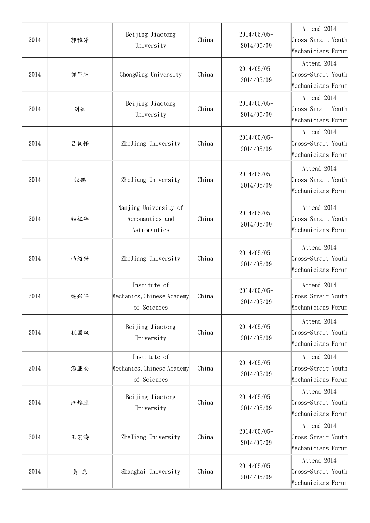| 2014 | 郭雅芳 | Beijing Jiaotong<br>University                            | China | 2014/05/05-<br>2014/05/09    | Attend 2014<br>Cross-Strait Youth<br>Mechanicians Forum |
|------|-----|-----------------------------------------------------------|-------|------------------------------|---------------------------------------------------------|
| 2014 | 郭早阳 | ChongQing University                                      | China | 2014/05/05-<br>2014/05/09    | Attend 2014<br>Cross-Strait Youth<br>Mechanicians Forum |
| 2014 | 刘颖  | Beijing Jiaotong<br>University                            | China | $2014/05/05$ -<br>2014/05/09 | Attend 2014<br>Cross-Strait Youth<br>Mechanicians Forum |
| 2014 | 吕朝锋 | ZheJiang University                                       | China | 2014/05/05-<br>2014/05/09    | Attend 2014<br>Cross-Strait Youth<br>Mechanicians Forum |
| 2014 | 张鹤  | ZheJiang University                                       | China | 2014/05/05-<br>2014/05/09    | Attend 2014<br>Cross-Strait Youth<br>Mechanicians Forum |
| 2014 | 钱征华 | Nanjing University of<br>Aeronautics and<br>Astronautics  | China | 2014/05/05-<br>2014/05/09    | Attend 2014<br>Cross-Strait Youth<br>Mechanicians Forum |
| 2014 | 曲绍兴 | ZheJiang University                                       | China | 2014/05/05-<br>2014/05/09    | Attend 2014<br>Cross-Strait Youth<br>Mechanicians Forum |
| 2014 | 施兴华 | Institute of<br>Mechanics, Chinese Academy<br>of Sciences | China | 2014/05/05-<br>2014/05/09    | Attend 2014<br>Cross-Strait Youth<br>Mechanicians Forum |
| 2014 | 税国双 | Beijing Jiaotong<br>University                            | China | 2014/05/05-<br>2014/05/09    | Attend 2014<br>Cross-Strait Youth<br>Mechanicians Forum |
| 2014 | 汤亚南 | Institute of<br>Mechanics, Chinese Academy<br>of Sciences | China | 2014/05/05-<br>2014/05/09    | Attend 2014<br>Cross-Strait Youth<br>Mechanicians Forum |
| 2014 | 汪越胜 | Beijing Jiaotong<br>University                            | China | 2014/05/05-<br>2014/05/09    | Attend 2014<br>Cross-Strait Youth<br>Mechanicians Forum |
| 2014 | 王宏涛 | ZheJiang University                                       | China | 2014/05/05-<br>2014/05/09    | Attend 2014<br>Cross-Strait Youth<br>Mechanicians Forum |
| 2014 | 黄虎  | Shanghai University                                       | China | 2014/05/05-<br>2014/05/09    | Attend 2014<br>Cross-Strait Youth<br>Mechanicians Forum |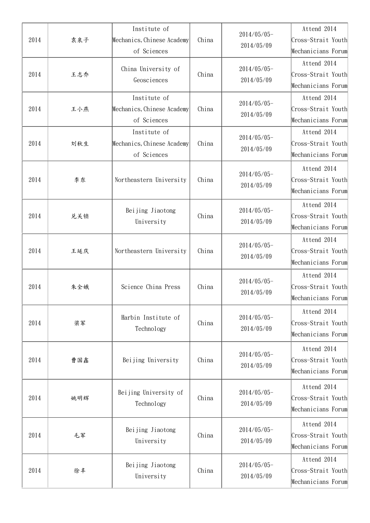| 2014 | 袁泉子 | Institute of<br>Mechanics, Chinese Academy<br>of Sciences | China | $2014/05/05 -$<br>2014/05/09 | Attend 2014<br>Cross-Strait Youth<br>Mechanicians Forum |
|------|-----|-----------------------------------------------------------|-------|------------------------------|---------------------------------------------------------|
| 2014 | 王志乔 | China University of<br>Geosciences                        | China | $2014/05/05$ -<br>2014/05/09 | Attend 2014<br>Cross-Strait Youth<br>Mechanicians Forum |
| 2014 | 王小燕 | Institute of<br>Mechanics, Chinese Academy<br>of Sciences | China | 2014/05/05-<br>2014/05/09    | Attend 2014<br>Cross-Strait Youth<br>Mechanicians Forum |
| 2014 | 刘秋生 | Institute of<br>Mechanics, Chinese Academy<br>of Sciences | China | 2014/05/05-<br>2014/05/09    | Attend 2014<br>Cross-Strait Youth<br>Mechanicians Forum |
| 2014 | 李东  | Northeastern University                                   | China | 2014/05/05-<br>2014/05/09    | Attend 2014<br>Cross-Strait Youth<br>Mechanicians Forum |
| 2014 | 兑关锁 | Beijing Jiaotong<br>University                            | China | $2014/05/05 -$<br>2014/05/09 | Attend 2014<br>Cross-Strait Youth<br>Mechanicians Forum |
| 2014 | 王延庆 | Northeastern University                                   | China | 2014/05/05-<br>2014/05/09    | Attend 2014<br>Cross-Strait Youth<br>Mechanicians Forum |
| 2014 | 朱全娥 | Science China Press                                       | China | 2014/05/05-<br>2014/05/09    | Attend 2014<br>Cross-Strait Youth<br>Mechanicians Forum |
| 2014 | 梁军  | Harbin Institute of<br>Technology                         | China | 2014/05/05-<br>2014/05/09    | Attend 2014<br>Cross-Strait Youth<br>Mechanicians Forum |
| 2014 | 曹国鑫 | Beijing University                                        | China | $2014/05/05$ -<br>2014/05/09 | Attend 2014<br>Cross-Strait Youth<br>Mechanicians Forum |
| 2014 | 姚明辉 | Beijing University of<br>Technology                       | China | 2014/05/05-<br>2014/05/09    | Attend 2014<br>Cross-Strait Youth<br>Mechanicians Forum |
| 2014 | 毛军  | Beijing Jiaotong<br>University                            | China | $2014/05/05 -$<br>2014/05/09 | Attend 2014<br>Cross-Strait Youth<br>Mechanicians Forum |
| 2014 | 徐丰  | Beijing Jiaotong<br>University                            | China | 2014/05/05-<br>2014/05/09    | Attend 2014<br>Cross-Strait Youth<br>Mechanicians Forum |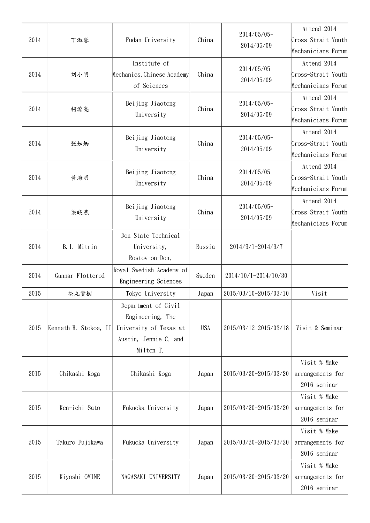| 2014 | 丁淑蓉                   | Fudan University                                                                                        | China      | $2014/05/05$ -<br>2014/05/09 | Attend 2014<br>Cross-Strait Youth<br>Mechanicians Forum |
|------|-----------------------|---------------------------------------------------------------------------------------------------------|------------|------------------------------|---------------------------------------------------------|
| 2014 | 刘小明                   | Institute of<br>Mechanics, Chinese Academy<br>of Sciences                                               | China      | $2014/05/05$ -<br>2014/05/09 | Attend 2014<br>Cross-Strait Youth<br>Mechanicians Forum |
| 2014 | 柯燎亮                   | Beijing Jiaotong<br>University                                                                          | China      | 2014/05/05-<br>2014/05/09    | Attend 2014<br>Cross-Strait Youth<br>Mechanicians Forum |
| 2014 | 张如炳                   | Beijing Jiaotong<br>University                                                                          | China      | $2014/05/05$ -<br>2014/05/09 | Attend 2014<br>Cross-Strait Youth<br>Mechanicians Forum |
| 2014 | 黄海明                   | Beijing Jiaotong<br>University                                                                          | China      | 2014/05/05-<br>2014/05/09    | Attend 2014<br>Cross-Strait Youth<br>Mechanicians Forum |
| 2014 | 梁晓燕                   | Beijing Jiaotong<br>University                                                                          | China      | 2014/05/05-<br>2014/05/09    | Attend 2014<br>Cross-Strait Youth<br>Mechanicians Forum |
| 2014 | B.I. Mitrin           | Don State Technical<br>University,<br>Rostov-on-Don,                                                    | Russia     | 2014/9/1-2014/9/7            |                                                         |
| 2014 | Gunnar Flotterod      | Royal Swedish Academy of<br>Engineering Sciences                                                        | Sweden     | 2014/10/1-2014/10/30         |                                                         |
| 2015 | 松丸貴樹                  | Tokyo University                                                                                        | Japan      | 2015/03/10-2015/03/10        | Visit                                                   |
| 2015 | Kenneth H. Stokoe, II | Department of Civil<br>Engineering, The<br>University of Texas at<br>Austin, Jennie C. and<br>Milton T. | <b>USA</b> | 2015/03/12-2015/03/18        | Visit & Seminar                                         |
| 2015 | Chikashi Koga         | Chikashi Koga                                                                                           | Japan      | 2015/03/20-2015/03/20        | Visit % Make<br>arrangements for<br>2016 seminar        |
| 2015 | Ken-ichi Sato         | Fukuoka University                                                                                      | Japan      | 2015/03/20-2015/03/20        | Visit % Make<br>arrangements for<br>2016 seminar        |
| 2015 | Takuro Fujikawa       | Fukuoka University                                                                                      | Japan      | 2015/03/20-2015/03/20        | Visit % Make<br>arrangements for<br>2016 seminar        |
| 2015 | Kiyoshi OMINE         | NAGASAKI UNIVERSITY                                                                                     | Japan      | 2015/03/20-2015/03/20        | Visit % Make<br>arrangements for<br>2016 seminar        |